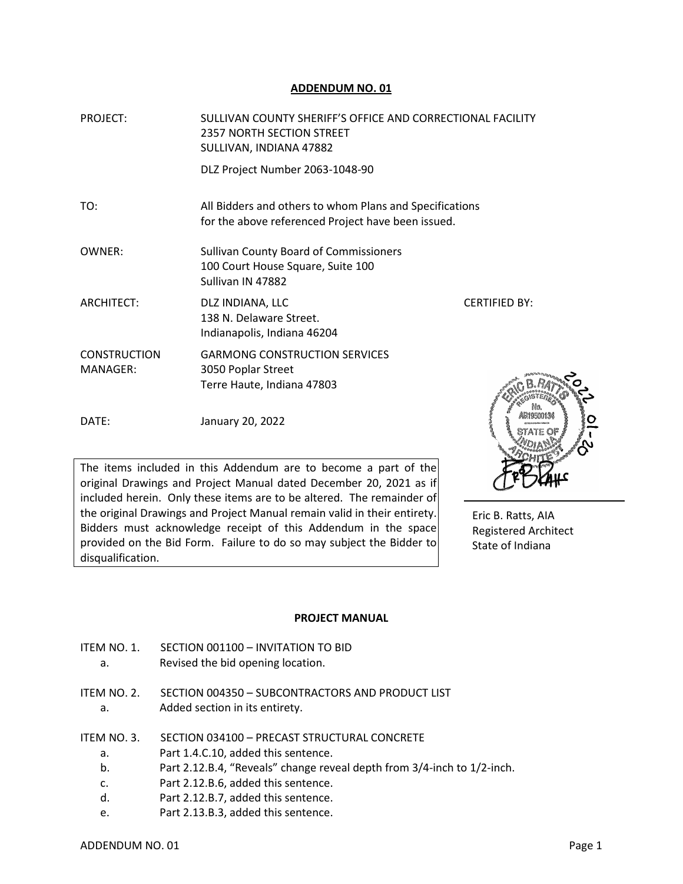## **ADDENDUM NO. 01**

| <b>PROJECT:</b>                 | SULLIVAN COUNTY SHERIFF'S OFFICE AND CORRECTIONAL FACILITY<br><b>2357 NORTH SECTION STREET</b><br>SULLIVAN, INDIANA 47882 |                      |
|---------------------------------|---------------------------------------------------------------------------------------------------------------------------|----------------------|
|                                 | DLZ Project Number 2063-1048-90                                                                                           |                      |
| TO:                             | All Bidders and others to whom Plans and Specifications<br>for the above referenced Project have been issued.             |                      |
| OWNER:                          | <b>Sullivan County Board of Commissioners</b><br>100 Court House Square, Suite 100<br>Sullivan IN 47882                   |                      |
| <b>ARCHITECT:</b>               | DLZ INDIANA, LLC<br>138 N. Delaware Street.<br>Indianapolis, Indiana 46204                                                | <b>CERTIFIED BY:</b> |
| <b>CONSTRUCTION</b><br>MANAGER: | <b>GARMONG CONSTRUCTION SERVICES</b><br>3050 Poplar Street<br>Terre Haute, Indiana 47803                                  |                      |
| DATE:                           | January 20, 2022                                                                                                          |                      |

The items included in this Addendum are to become a part of the original Drawings and Project Manual dated December 20, 2021 as if included herein. Only these items are to be altered. The remainder of the original Drawings and Project Manual remain valid in their entirety. Bidders must acknowledge receipt of this Addendum in the space provided on the Bid Form. Failure to do so may subject the Bidder to disqualification.



Eric B. Ratts, AIA Registered Architect State of Indiana

#### **PROJECT MANUAL**

- ITEM NO. 1. SECTION 001100 INVITATION TO BID
	- a. Revised the bid opening location.
- ITEM NO. 2. SECTION 004350 SUBCONTRACTORS AND PRODUCT LIST a. Added section in its entirety.
- ITEM NO. 3. SECTION 034100 PRECAST STRUCTURAL CONCRETE
	- a. Part 1.4.C.10, added this sentence.
	- b. Part 2.12.B.4, "Reveals" change reveal depth from 3/4-inch to 1/2-inch.
	- c. Part 2.12.B.6, added this sentence.
	- d. Part 2.12.B.7, added this sentence.
	- e. Part 2.13.B.3, added this sentence.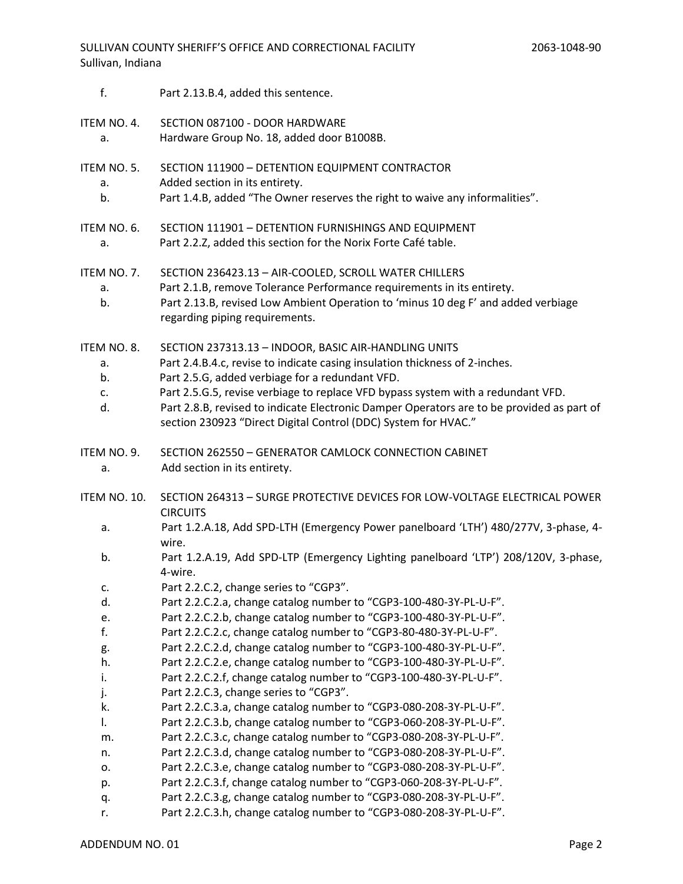- f. Part 2.13.B.4, added this sentence.
- ITEM NO. 4. SECTION 087100 DOOR HARDWARE a. Hardware Group No. 18, added door B1008B.
- ITEM NO. 5. SECTION 111900 DETENTION EQUIPMENT CONTRACTOR
	- a. Added section in its entirety.
	- b. Part 1.4.B, added "The Owner reserves the right to waive any informalities".
- ITEM NO. 6. SECTION 111901 DETENTION FURNISHINGS AND EQUIPMENT
	- a. Part 2.2.Z, added this section for the Norix Forte Café table.
- ITEM NO. 7. SECTION 236423.13 AIR-COOLED, SCROLL WATER CHILLERS
	- a. Part 2.1.B, remove Tolerance Performance requirements in its entirety.
	- b. Part 2.13.B, revised Low Ambient Operation to 'minus 10 deg F' and added verbiage regarding piping requirements.

ITEM NO. 8. SECTION 237313.13 – INDOOR, BASIC AIR-HANDLING UNITS

- a. Part 2.4.B.4.c, revise to indicate casing insulation thickness of 2-inches.
- b. Part 2.5.G, added verbiage for a redundant VFD.
- c. Part 2.5.G.5, revise verbiage to replace VFD bypass system with a redundant VFD.
- d. Part 2.8.B, revised to indicate Electronic Damper Operators are to be provided as part of section 230923 "Direct Digital Control (DDC) System for HVAC."
- ITEM NO. 9. SECTION 262550 GENERATOR CAMLOCK CONNECTION CABINET a. Add section in its entirety.
- ITEM NO. 10. SECTION 264313 SURGE PROTECTIVE DEVICES FOR LOW-VOLTAGE ELECTRICAL POWER **CIRCUITS** 
	- a. Part 1.2.A.18, Add SPD-LTH (Emergency Power panelboard 'LTH') 480/277V, 3-phase, 4 wire.
	- b. Part 1.2.A.19, Add SPD-LTP (Emergency Lighting panelboard 'LTP') 208/120V, 3-phase, 4-wire.
	- c. Part 2.2.C.2, change series to "CGP3".
	- d. Part 2.2.C.2.a, change catalog number to "CGP3-100-480-3Y-PL-U-F".
	- e. Part 2.2.C.2.b, change catalog number to "CGP3-100-480-3Y-PL-U-F".
	- f. Part 2.2.C.2.c, change catalog number to "CGP3-80-480-3Y-PL-U-F".
	- g. Part 2.2.C.2.d, change catalog number to "CGP3-100-480-3Y-PL-U-F".
	- h. Part 2.2.C.2.e, change catalog number to "CGP3-100-480-3Y-PL-U-F".
	- i. Part 2.2.C.2.f, change catalog number to "CGP3-100-480-3Y-PL-U-F".
	- j. Part 2.2.C.3, change series to "CGP3".
	- k. Part 2.2.C.3.a, change catalog number to "CGP3-080-208-3Y-PL-U-F".
	- l. Part 2.2.C.3.b, change catalog number to "CGP3-060-208-3Y-PL-U-F".
	- m. Part 2.2.C.3.c, change catalog number to "CGP3-080-208-3Y-PL-U-F".
	- n. Part 2.2.C.3.d, change catalog number to "CGP3-080-208-3Y-PL-U-F".
	- o. Part 2.2.C.3.e, change catalog number to "CGP3-080-208-3Y-PL-U-F".
	- p. Part 2.2.C.3.f, change catalog number to "CGP3-060-208-3Y-PL-U-F".
	- q. Part 2.2.C.3.g, change catalog number to "CGP3-080-208-3Y-PL-U-F".
	- r. Part 2.2.C.3.h, change catalog number to "CGP3-080-208-3Y-PL-U-F".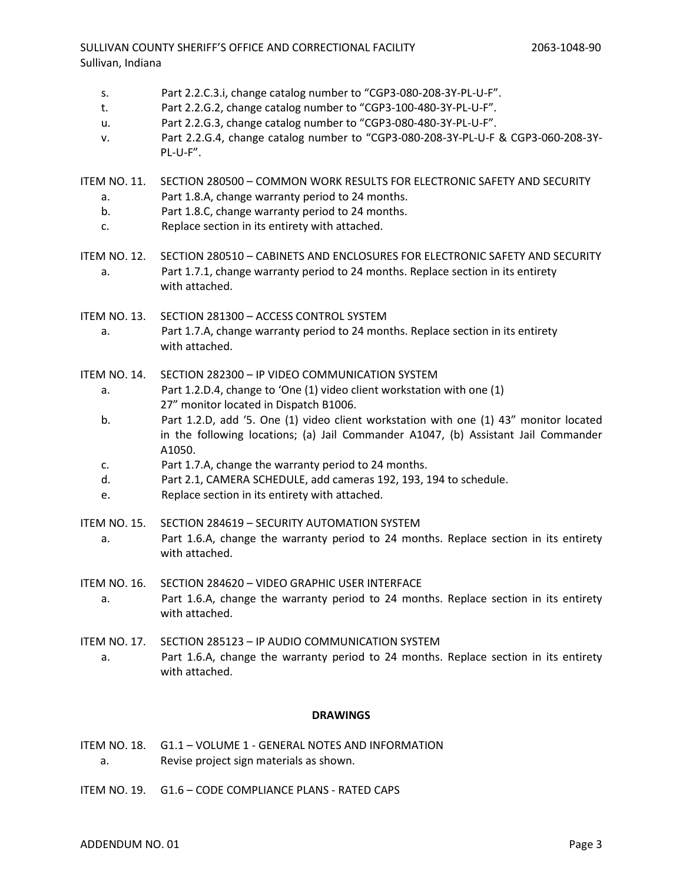- s. Part 2.2.C.3.i, change catalog number to "CGP3-080-208-3Y-PL-U-F".
- t. Part 2.2.G.2, change catalog number to "CGP3-100-480-3Y-PL-U-F".
- u. Part 2.2.G.3, change catalog number to "CGP3-080-480-3Y-PL-U-F".
- v. Part 2.2.G.4, change catalog number to "CGP3-080-208-3Y-PL-U-F & CGP3-060-208-3Y- PL-U-F".
- ITEM NO. 11. SECTION 280500 COMMON WORK RESULTS FOR ELECTRONIC SAFETY AND SECURITY a. Part 1.8.A, change warranty period to 24 months.
	- b. Part 1.8.C, change warranty period to 24 months.
	- c. Replace section in its entirety with attached.
- ITEM NO. 12. SECTION 280510 CABINETS AND ENCLOSURES FOR ELECTRONIC SAFETY AND SECURITY a. Part 1.7.1, change warranty period to 24 months. Replace section in its entirety with attached.
- ITEM NO. 13. SECTION 281300 ACCESS CONTROL SYSTEM a. Part 1.7.A, change warranty period to 24 months. Replace section in its entirety with attached.
- ITEM NO. 14. SECTION 282300 IP VIDEO COMMUNICATION SYSTEM
	- a. Part 1.2.D.4, change to 'One (1) video client workstation with one (1) 27" monitor located in Dispatch B1006.
	- b. Part 1.2.D, add '5. One (1) video client workstation with one (1) 43" monitor located in the following locations; (a) Jail Commander A1047, (b) Assistant Jail Commander A1050.
	- c. Part 1.7.A, change the warranty period to 24 months.
	- d. Part 2.1, CAMERA SCHEDULE, add cameras 192, 193, 194 to schedule.
	- e. Replace section in its entirety with attached.
- ITEM NO. 15. SECTION 284619 SECURITY AUTOMATION SYSTEM a. Part 1.6.A, change the warranty period to 24 months. Replace section in its entirety with attached.
- ITEM NO. 16. SECTION 284620 VIDEO GRAPHIC USER INTERFACE a. Part 1.6.A, change the warranty period to 24 months. Replace section in its entirety with attached.
- ITEM NO. 17. SECTION 285123 IP AUDIO COMMUNICATION SYSTEM a. Part 1.6.A, change the warranty period to 24 months. Replace section in its entirety with attached.

# **DRAWINGS**

- ITEM NO. 18. G1.1 VOLUME 1 GENERAL NOTES AND INFORMATION a. Revise project sign materials as shown.
- ITEM NO. 19. G1.6 CODE COMPLIANCE PLANS RATED CAPS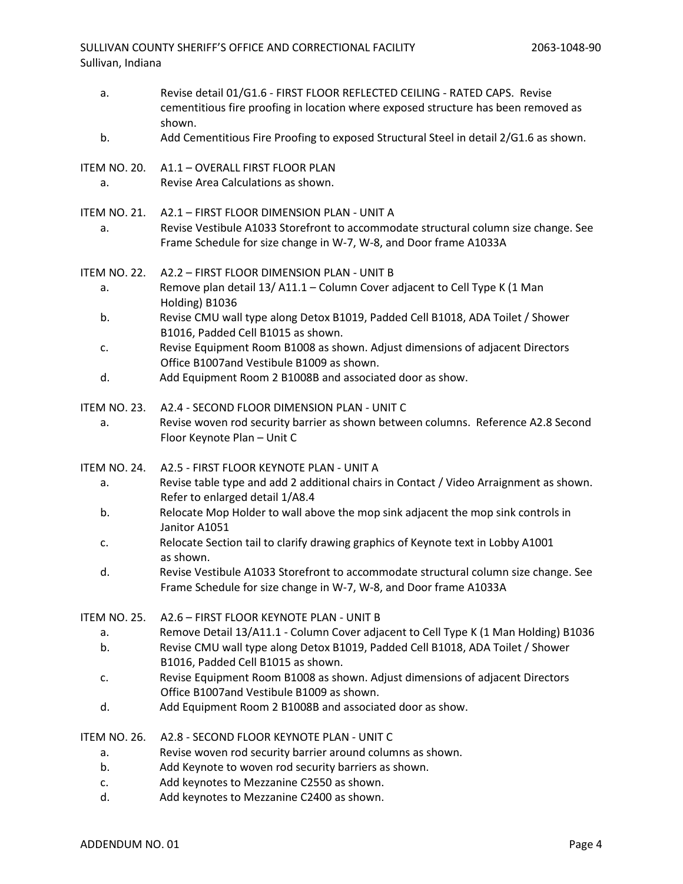a. Revise detail 01/G1.6 - FIRST FLOOR REFLECTED CEILING - RATED CAPS. Revise cementitious fire proofing in location where exposed structure has been removed as shown. b. Add Cementitious Fire Proofing to exposed Structural Steel in detail 2/G1.6 as shown. ITEM NO. 20. A1.1 – OVERALL FIRST FLOOR PLAN a. Revise Area Calculations as shown. ITEM NO. 21. A2.1 – FIRST FLOOR DIMENSION PLAN - UNIT A a. Revise Vestibule A1033 Storefront to accommodate structural column size change. See Frame Schedule for size change in W-7, W-8, and Door frame A1033A ITEM NO. 22. A2.2 – FIRST FLOOR DIMENSION PLAN - UNIT B a. Remove plan detail 13/ A11.1 – Column Cover adjacent to Cell Type K (1 Man Holding) B1036 b. Revise CMU wall type along Detox B1019, Padded Cell B1018, ADA Toilet / Shower B1016, Padded Cell B1015 as shown. c. Revise Equipment Room B1008 as shown. Adjust dimensions of adjacent Directors Office B1007and Vestibule B1009 as shown. d. Add Equipment Room 2 B1008B and associated door as show. ITEM NO. 23. A2.4 - SECOND FLOOR DIMENSION PLAN - UNIT C a. Revise woven rod security barrier as shown between columns. Reference A2.8 Second Floor Keynote Plan – Unit C ITEM NO. 24. A2.5 - FIRST FLOOR KEYNOTE PLAN - UNIT A a. Revise table type and add 2 additional chairs in Contact / Video Arraignment as shown. Refer to enlarged detail 1/A8.4 b. Relocate Mop Holder to wall above the mop sink adjacent the mop sink controls in Janitor A1051 c. Relocate Section tail to clarify drawing graphics of Keynote text in Lobby A1001 as shown. d. Revise Vestibule A1033 Storefront to accommodate structural column size change. See Frame Schedule for size change in W-7, W-8, and Door frame A1033A ITEM NO. 25. A2.6 – FIRST FLOOR KEYNOTE PLAN - UNIT B a. Remove Detail 13/A11.1 - Column Cover adjacent to Cell Type K (1 Man Holding) B1036 b. Revise CMU wall type along Detox B1019, Padded Cell B1018, ADA Toilet / Shower B1016, Padded Cell B1015 as shown. c. Revise Equipment Room B1008 as shown. Adjust dimensions of adjacent Directors Office B1007and Vestibule B1009 as shown. d. Add Equipment Room 2 B1008B and associated door as show. ITEM NO. 26. A2.8 - SECOND FLOOR KEYNOTE PLAN - UNIT C a. Revise woven rod security barrier around columns as shown. b. Add Keynote to woven rod security barriers as shown. c. Add keynotes to Mezzanine C2550 as shown. d. Add keynotes to Mezzanine C2400 as shown.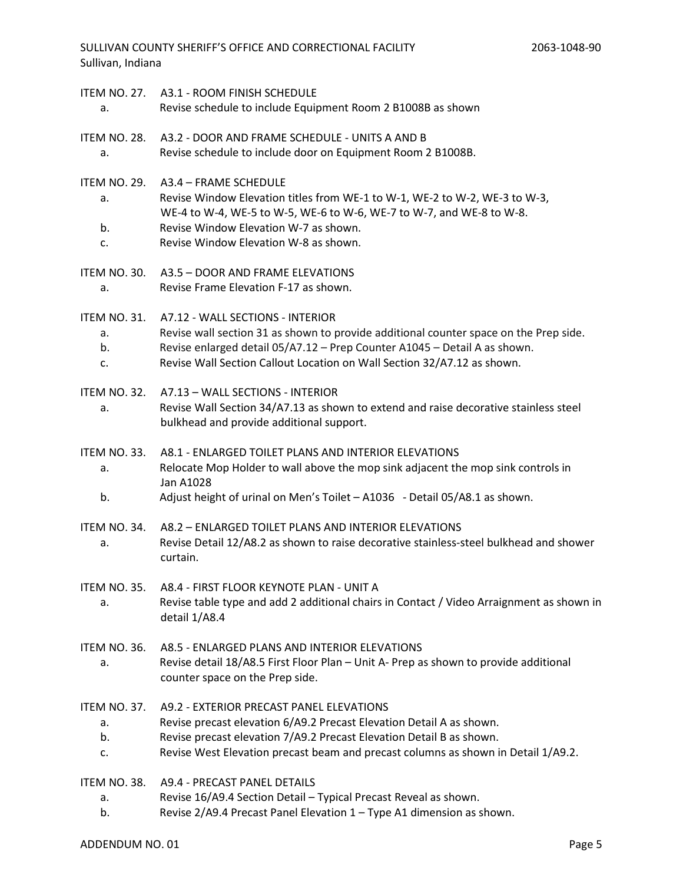| a.                             | ITEM NO. 27. A3.1 - ROOM FINISH SCHEDULE<br>Revise schedule to include Equipment Room 2 B1008B as shown                                                                                                                                                                           |
|--------------------------------|-----------------------------------------------------------------------------------------------------------------------------------------------------------------------------------------------------------------------------------------------------------------------------------|
| ITEM NO. 28.<br>a.             | A3.2 - DOOR AND FRAME SCHEDULE - UNITS A AND B<br>Revise schedule to include door on Equipment Room 2 B1008B.                                                                                                                                                                     |
| ITEM NO. 29.<br>a.             | A3.4 - FRAME SCHEDULE<br>Revise Window Elevation titles from WE-1 to W-1, WE-2 to W-2, WE-3 to W-3,<br>WE-4 to W-4, WE-5 to W-5, WE-6 to W-6, WE-7 to W-7, and WE-8 to W-8.                                                                                                       |
| b.<br>c.                       | Revise Window Elevation W-7 as shown.<br>Revise Window Elevation W-8 as shown.                                                                                                                                                                                                    |
| ITEM NO. 30.<br>a.             | A3.5 - DOOR AND FRAME ELEVATIONS<br>Revise Frame Elevation F-17 as shown.                                                                                                                                                                                                         |
| ITEM NO. 31.<br>а.<br>b.<br>c. | A7.12 - WALL SECTIONS - INTERIOR<br>Revise wall section 31 as shown to provide additional counter space on the Prep side.<br>Revise enlarged detail 05/A7.12 - Prep Counter A1045 - Detail A as shown.<br>Revise Wall Section Callout Location on Wall Section 32/A7.12 as shown. |
| ITEM NO. 32.<br>a.             | A7.13 - WALL SECTIONS - INTERIOR<br>Revise Wall Section 34/A7.13 as shown to extend and raise decorative stainless steel<br>bulkhead and provide additional support.                                                                                                              |
| ITEM NO. 33.<br>а.<br>b.       | A8.1 - ENLARGED TOILET PLANS AND INTERIOR ELEVATIONS<br>Relocate Mop Holder to wall above the mop sink adjacent the mop sink controls in<br>Jan A1028<br>Adjust height of urinal on Men's Toilet - A1036 - Detail 05/A8.1 as shown.                                               |
| ITEM NO. 34.<br>а.             | A8.2 - ENLARGED TOILET PLANS AND INTERIOR ELEVATIONS<br>Revise Detail 12/A8.2 as shown to raise decorative stainless-steel bulkhead and shower<br>curtain.                                                                                                                        |
| ITEM NO. 35.<br>a.             | A8.4 - FIRST FLOOR KEYNOTE PLAN - UNIT A<br>Revise table type and add 2 additional chairs in Contact / Video Arraignment as shown in<br>detail 1/A8.4                                                                                                                             |
| ITEM NO. 36.<br>a.             | A8.5 - ENLARGED PLANS AND INTERIOR ELEVATIONS<br>Revise detail 18/A8.5 First Floor Plan - Unit A- Prep as shown to provide additional<br>counter space on the Prep side.                                                                                                          |
| ITEM NO. 37.                   | A9.2 - EXTERIOR PRECAST PANEL ELEVATIONS<br>Revise precast elevation 6/A9.2 Precast Elevation Detail A as shown.                                                                                                                                                                  |
| a.<br>b.<br>c.                 | Revise precast elevation 7/A9.2 Precast Elevation Detail B as shown.<br>Revise West Elevation precast beam and precast columns as shown in Detail 1/A9.2.                                                                                                                         |
| ITEM NO. 38.                   | A9.4 - PRECAST PANEL DETAILS                                                                                                                                                                                                                                                      |
| a.<br>b.                       | Revise 16/A9.4 Section Detail - Typical Precast Reveal as shown.<br>Revise 2/A9.4 Precast Panel Elevation 1 - Type A1 dimension as shown.                                                                                                                                         |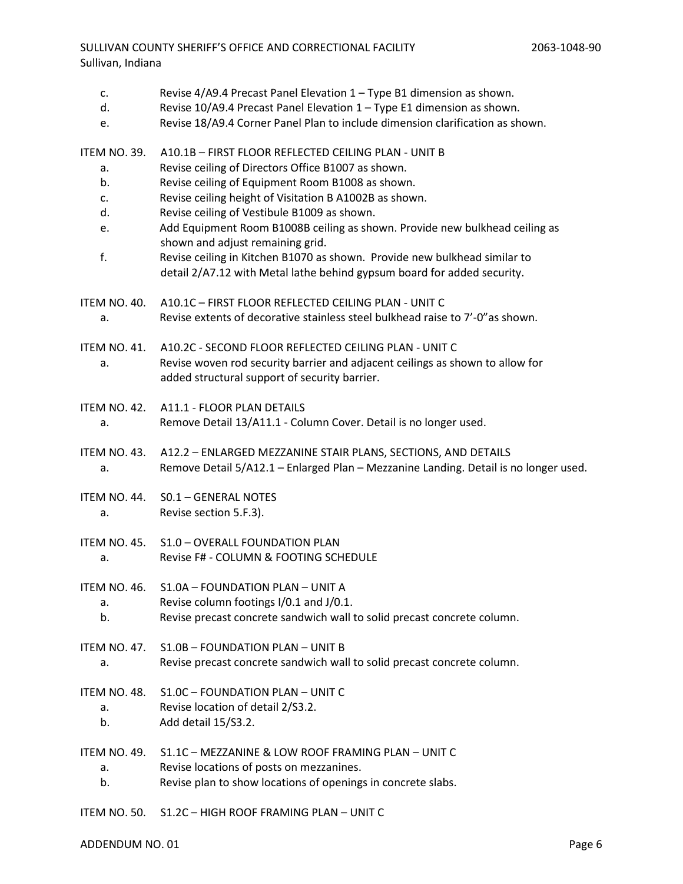# SULLIVAN COUNTY SHERIFF'S OFFICE AND CORRECTIONAL FACILITY Sullivan, Indiana

- c. Revise  $4/49.4$  Precast Panel Elevation  $1 -$  Type B1 dimension as shown.
- d. Revise 10/A9.4 Precast Panel Elevation 1 Type E1 dimension as shown.
- e. Revise 18/A9.4 Corner Panel Plan to include dimension clarification as shown.

ITEM NO. 39. A10.1B – FIRST FLOOR REFLECTED CEILING PLAN - UNIT B

- a. Revise ceiling of Directors Office B1007 as shown.
- b. Revise ceiling of Equipment Room B1008 as shown.
- c. Revise ceiling height of Visitation B A1002B as shown.
- d. Revise ceiling of Vestibule B1009 as shown.
- e. Add Equipment Room B1008B ceiling as shown. Provide new bulkhead ceiling as shown and adjust remaining grid.
- f. Revise ceiling in Kitchen B1070 as shown. Provide new bulkhead similar to detail 2/A7.12 with Metal lathe behind gypsum board for added security.
- ITEM NO. 40. A10.1C FIRST FLOOR REFLECTED CEILING PLAN UNIT C a. Revise extents of decorative stainless steel bulkhead raise to 7'-0"as shown.
- ITEM NO. 41. A10.2C SECOND FLOOR REFLECTED CEILING PLAN UNIT C a. Revise woven rod security barrier and adjacent ceilings as shown to allow for added structural support of security barrier.
- ITEM NO. 42. A11.1 FLOOR PLAN DETAILS a. Remove Detail 13/A11.1 - Column Cover. Detail is no longer used.
- 
- ITEM NO. 43. A12.2 ENLARGED MEZZANINE STAIR PLANS, SECTIONS, AND DETAILS a. Remove Detail 5/A12.1 – Enlarged Plan – Mezzanine Landing. Detail is no longer used.
- ITEM NO. 44. S0.1 GENERAL NOTES a. Revise section 5.F.3).
- ITEM NO. 45. S1.0 OVERALL FOUNDATION PLAN a. Revise F# - COLUMN & FOOTING SCHEDULE
- ITEM NO. 46. S1.0A FOUNDATION PLAN UNIT A
	- a. Revise column footings I/0.1 and J/0.1.
	- b. Revise precast concrete sandwich wall to solid precast concrete column.
- ITEM NO. 47. S1.0B FOUNDATION PLAN UNIT B a. Revise precast concrete sandwich wall to solid precast concrete column.
- ITEM NO. 48. S1.0C FOUNDATION PLAN UNIT C
	- a. Revise location of detail 2/S3.2.
	- b. Add detail 15/S3.2.
- ITEM NO. 49. S1.1C MEZZANINE & LOW ROOF FRAMING PLAN UNIT C a. Revise locations of posts on mezzanines.
	- b. Revise plan to show locations of openings in concrete slabs.
- ITEM NO. 50. S1.2C HIGH ROOF FRAMING PLAN UNIT C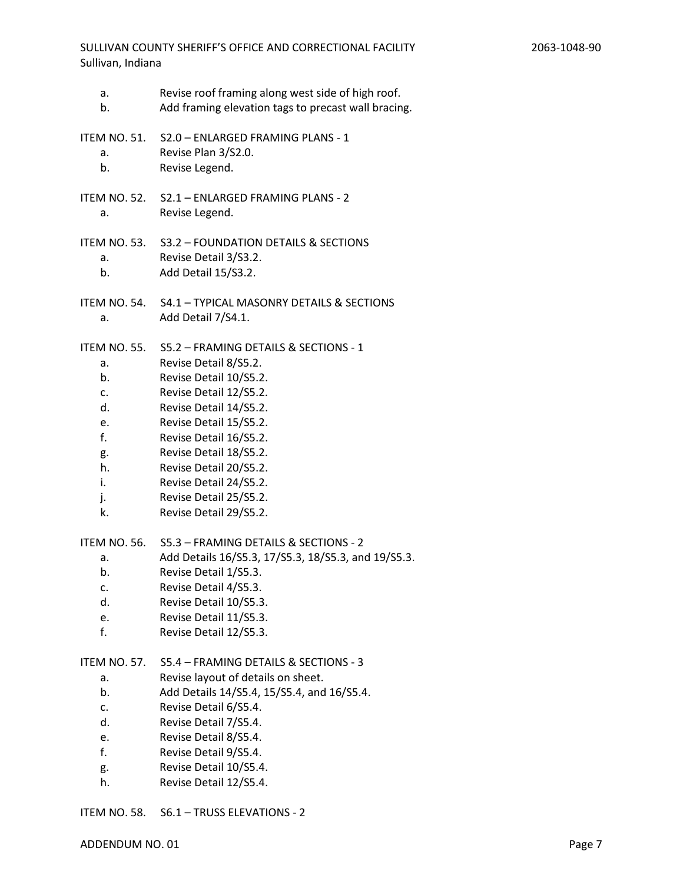- a. Revise roof framing along west side of high roof.
- b. Add framing elevation tags to precast wall bracing.
- ITEM NO. 51. S2.0 ENLARGED FRAMING PLANS 1
	- a. Revise Plan 3/S2.0.
	- b. Revise Legend.
- ITEM NO. 52. S2.1 ENLARGED FRAMING PLANS 2 a. Revise Legend.
- ITEM NO. 53. S3.2 FOUNDATION DETAILS & SECTIONS a. Revise Detail 3/S3.2. b. Add Detail 15/S3.2.
	-
- ITEM NO. 54. S4.1 TYPICAL MASONRY DETAILS & SECTIONS a. Add Detail 7/S4.1.

ITEM NO. 55. S5.2 – FRAMING DETAILS & SECTIONS - 1

- a. Revise Detail 8/S5.2.
- b. Revise Detail 10/S5.2.
- c. Revise Detail 12/S5.2.
- d. Revise Detail 14/S5.2.
- e. Revise Detail 15/S5.2.
- f. Revise Detail 16/S5.2.
- g. Revise Detail 18/S5.2.
- h. Revise Detail 20/S5.2.
- i. Revise Detail 24/S5.2.
- j. Revise Detail 25/S5.2.
- k. Revise Detail 29/S5.2.

ITEM NO. 56. S5.3 – FRAMING DETAILS & SECTIONS - 2

- a. Add Details 16/S5.3, 17/S5.3, 18/S5.3, and 19/S5.3.
- b. Revise Detail 1/S5.3.
- c. Revise Detail 4/S5.3.
- d. Revise Detail 10/S5.3.
- e. Revise Detail 11/S5.3.
- f. Revise Detail 12/S5.3.

ITEM NO. 57. S5.4 – FRAMING DETAILS & SECTIONS - 3

- a. Revise layout of details on sheet.
- b. Add Details 14/S5.4, 15/S5.4, and 16/S5.4.
- c. Revise Detail 6/S5.4.
- d. Revise Detail 7/S5.4.
- e. Revise Detail 8/S5.4.
- f. Revise Detail 9/S5.4.
- g. Revise Detail 10/S5.4.
- h. Revise Detail 12/S5.4.

ITEM NO. 58. S6.1 – TRUSS ELEVATIONS - 2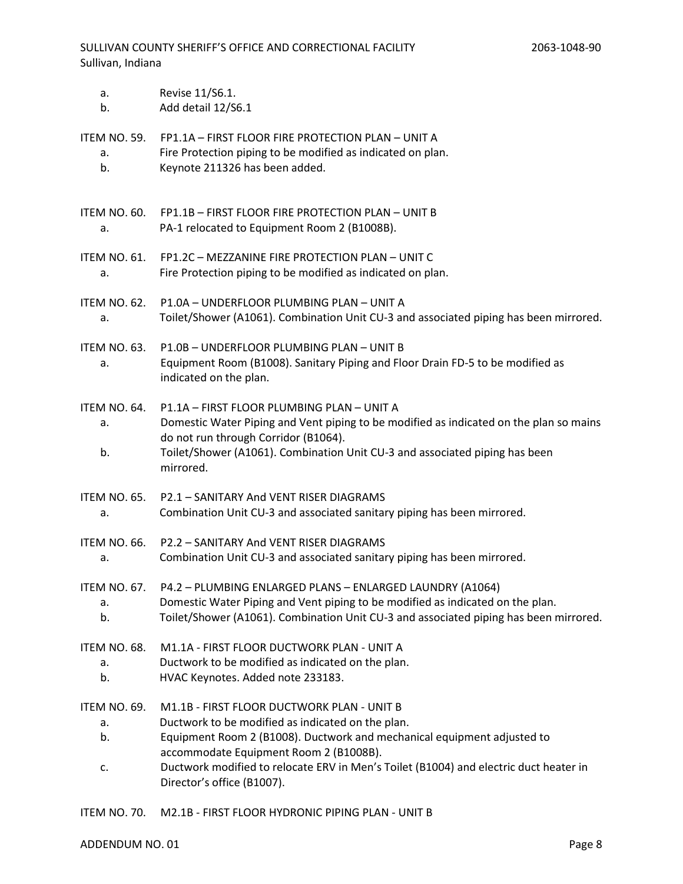| a.                             | Revise 11/S6.1.                                                                                                                                                                                                                                                                                                                             |
|--------------------------------|---------------------------------------------------------------------------------------------------------------------------------------------------------------------------------------------------------------------------------------------------------------------------------------------------------------------------------------------|
| b.                             | Add detail 12/S6.1                                                                                                                                                                                                                                                                                                                          |
| <b>ITEM NO. 59.</b>            | FP1.1A - FIRST FLOOR FIRE PROTECTION PLAN - UNIT A                                                                                                                                                                                                                                                                                          |
| a.                             | Fire Protection piping to be modified as indicated on plan.                                                                                                                                                                                                                                                                                 |
| b.                             | Keynote 211326 has been added.                                                                                                                                                                                                                                                                                                              |
| ITEM NO. 60.                   | FP1.1B - FIRST FLOOR FIRE PROTECTION PLAN - UNIT B                                                                                                                                                                                                                                                                                          |
| a.                             | PA-1 relocated to Equipment Room 2 (B1008B).                                                                                                                                                                                                                                                                                                |
| <b>ITEM NO. 61.</b>            | FP1.2C - MEZZANINE FIRE PROTECTION PLAN - UNIT C                                                                                                                                                                                                                                                                                            |
| a.                             | Fire Protection piping to be modified as indicated on plan.                                                                                                                                                                                                                                                                                 |
| ITEM NO. 62.                   | P1.0A - UNDERFLOOR PLUMBING PLAN - UNIT A                                                                                                                                                                                                                                                                                                   |
| a.                             | Toilet/Shower (A1061). Combination Unit CU-3 and associated piping has been mirrored.                                                                                                                                                                                                                                                       |
| ITEM NO. 63.<br>a.             | P1.0B - UNDERFLOOR PLUMBING PLAN - UNIT B<br>Equipment Room (B1008). Sanitary Piping and Floor Drain FD-5 to be modified as<br>indicated on the plan.                                                                                                                                                                                       |
| ITEM NO. 64.<br>а.<br>b.       | P1.1A - FIRST FLOOR PLUMBING PLAN - UNIT A<br>Domestic Water Piping and Vent piping to be modified as indicated on the plan so mains<br>do not run through Corridor (B1064).<br>Toilet/Shower (A1061). Combination Unit CU-3 and associated piping has been<br>mirrored.                                                                    |
| ITEM NO. 65.                   | P2.1 - SANITARY And VENT RISER DIAGRAMS                                                                                                                                                                                                                                                                                                     |
| a.                             | Combination Unit CU-3 and associated sanitary piping has been mirrored.                                                                                                                                                                                                                                                                     |
| ITEM NO. 66.                   | P2.2 - SANITARY And VENT RISER DIAGRAMS                                                                                                                                                                                                                                                                                                     |
| a.                             | Combination Unit CU-3 and associated sanitary piping has been mirrored.                                                                                                                                                                                                                                                                     |
| <b>ITEM NO. 67.</b>            | P4.2 - PLUMBING ENLARGED PLANS - ENLARGED LAUNDRY (A1064)                                                                                                                                                                                                                                                                                   |
| a.                             | Domestic Water Piping and Vent piping to be modified as indicated on the plan.                                                                                                                                                                                                                                                              |
| b.                             | Toilet/Shower (A1061). Combination Unit CU-3 and associated piping has been mirrored.                                                                                                                                                                                                                                                       |
| ITEM NO. 68.                   | M1.1A - FIRST FLOOR DUCTWORK PLAN - UNIT A                                                                                                                                                                                                                                                                                                  |
| a.                             | Ductwork to be modified as indicated on the plan.                                                                                                                                                                                                                                                                                           |
| b.                             | HVAC Keynotes. Added note 233183.                                                                                                                                                                                                                                                                                                           |
| ITEM NO. 69.<br>a.<br>b.<br>c. | M1.1B - FIRST FLOOR DUCTWORK PLAN - UNIT B<br>Ductwork to be modified as indicated on the plan.<br>Equipment Room 2 (B1008). Ductwork and mechanical equipment adjusted to<br>accommodate Equipment Room 2 (B1008B).<br>Ductwork modified to relocate ERV in Men's Toilet (B1004) and electric duct heater in<br>Director's office (B1007). |

ITEM NO. 70. M2.1B - FIRST FLOOR HYDRONIC PIPING PLAN - UNIT B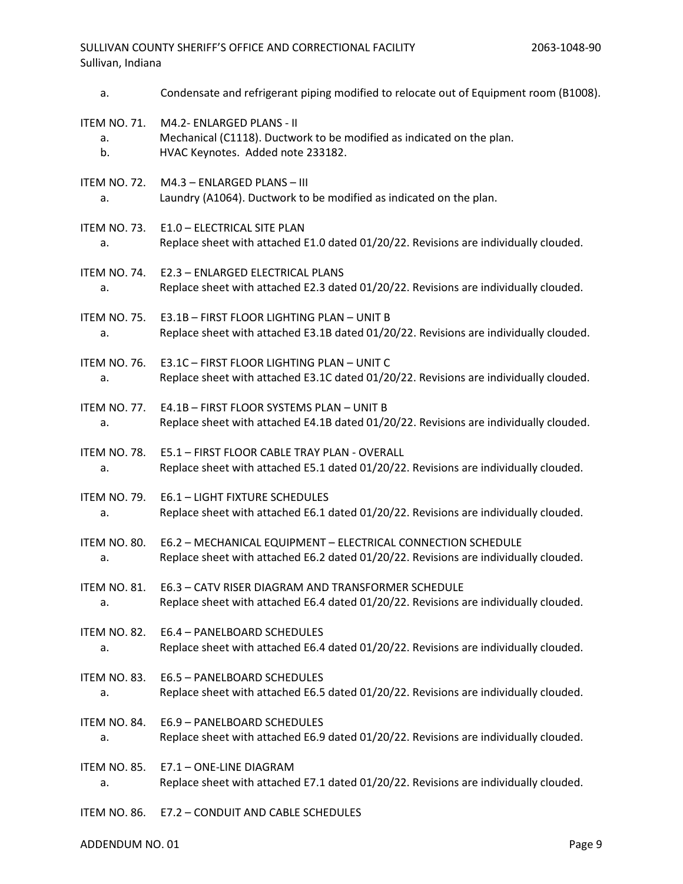| a.                  | Condensate and refrigerant piping modified to relocate out of Equipment room (B1008). |
|---------------------|---------------------------------------------------------------------------------------|
| <b>ITEM NO. 71.</b> | M4.2- ENLARGED PLANS - II                                                             |
| a.                  | Mechanical (C1118). Ductwork to be modified as indicated on the plan.                 |
| b.                  | HVAC Keynotes. Added note 233182.                                                     |
| <b>ITEM NO. 72.</b> | M4.3 - ENLARGED PLANS - III                                                           |
| a.                  | Laundry (A1064). Ductwork to be modified as indicated on the plan.                    |
| ITEM NO. 73.        | E1.0 - ELECTRICAL SITE PLAN                                                           |
| a.                  | Replace sheet with attached E1.0 dated 01/20/22. Revisions are individually clouded.  |
| ITEM NO. 74.        | E2.3 - ENLARGED ELECTRICAL PLANS                                                      |
| a.                  | Replace sheet with attached E2.3 dated 01/20/22. Revisions are individually clouded.  |
| ITEM NO. 75.        | E3.1B - FIRST FLOOR LIGHTING PLAN - UNIT B                                            |
| a.                  | Replace sheet with attached E3.1B dated 01/20/22. Revisions are individually clouded. |
| <b>ITEM NO. 76.</b> | E3.1C - FIRST FLOOR LIGHTING PLAN - UNIT C                                            |
| a.                  | Replace sheet with attached E3.1C dated 01/20/22. Revisions are individually clouded. |
| ITEM NO. 77.        | E4.1B - FIRST FLOOR SYSTEMS PLAN - UNIT B                                             |
| a.                  | Replace sheet with attached E4.1B dated 01/20/22. Revisions are individually clouded. |
| ITEM NO. 78.        | E5.1 - FIRST FLOOR CABLE TRAY PLAN - OVERALL                                          |
| a.                  | Replace sheet with attached E5.1 dated 01/20/22. Revisions are individually clouded.  |
| ITEM NO. 79.        | <b>E6.1 - LIGHT FIXTURE SCHEDULES</b>                                                 |
| a.                  | Replace sheet with attached E6.1 dated 01/20/22. Revisions are individually clouded.  |
| ITEM NO. 80.        | E6.2 - MECHANICAL EQUIPMENT - ELECTRICAL CONNECTION SCHEDULE                          |
| a.                  | Replace sheet with attached E6.2 dated 01/20/22. Revisions are individually clouded.  |
| ITEM NO. 81.        | E6.3 - CATV RISER DIAGRAM AND TRANSFORMER SCHEDULE                                    |
| а.                  | Replace sheet with attached E6.4 dated 01/20/22. Revisions are individually clouded.  |
| ITEM NO. 82.        | E6.4 - PANELBOARD SCHEDULES                                                           |
| a.                  | Replace sheet with attached E6.4 dated 01/20/22. Revisions are individually clouded.  |
| ITEM NO. 83.        | E6.5 - PANELBOARD SCHEDULES                                                           |
| а.                  | Replace sheet with attached E6.5 dated 01/20/22. Revisions are individually clouded.  |
| ITEM NO. 84.        | E6.9 - PANELBOARD SCHEDULES                                                           |
| a.                  | Replace sheet with attached E6.9 dated 01/20/22. Revisions are individually clouded.  |
| ITEM NO. 85.        | E7.1 - ONE-LINE DIAGRAM                                                               |
| а.                  | Replace sheet with attached E7.1 dated 01/20/22. Revisions are individually clouded.  |
| ITEM NO. 86.        | E7.2 - CONDUIT AND CABLE SCHEDULES                                                    |

ADDENDUM NO. 01 Page 9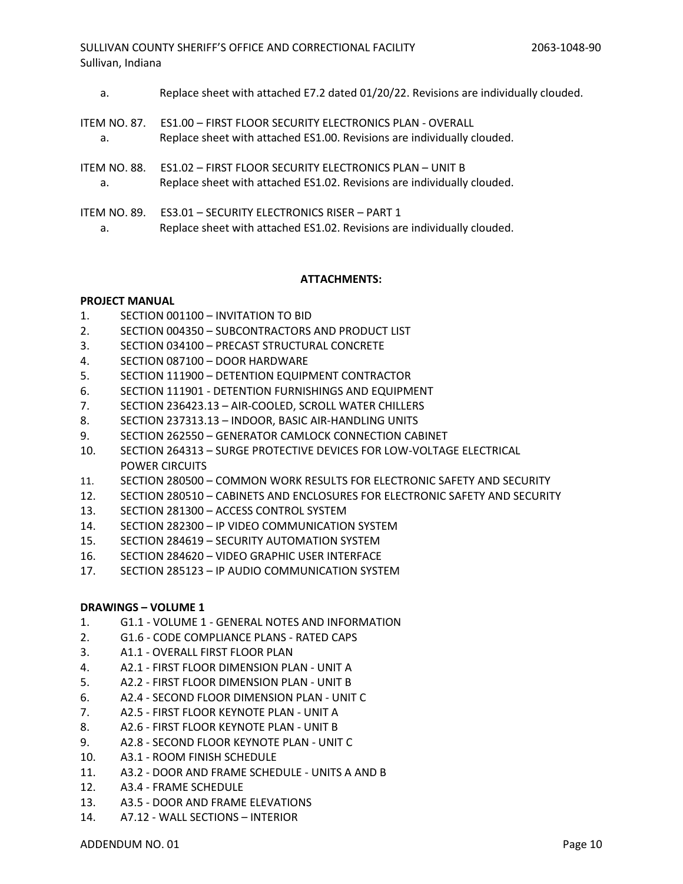SULLIVAN COUNTY SHERIFF'S OFFICE AND CORRECTIONAL FACILITY Sullivan, Indiana

a. Replace sheet with attached E7.2 dated 01/20/22. Revisions are individually clouded. ITEM NO. 87. ES1.00 – FIRST FLOOR SECURITY ELECTRONICS PLAN - OVERALL a. Replace sheet with attached ES1.00. Revisions are individually clouded. ITEM NO. 88. ES1.02 – FIRST FLOOR SECURITY ELECTRONICS PLAN – UNIT B a. Replace sheet with attached ES1.02. Revisions are individually clouded. ITEM NO. 89. ES3.01 – SECURITY ELECTRONICS RISER – PART 1 a. Replace sheet with attached ES1.02. Revisions are individually clouded.

### **ATTACHMENTS:**

### **PROJECT MANUAL**

- 1. SECTION 001100 INVITATION TO BID
- 2. SECTION 004350 SUBCONTRACTORS AND PRODUCT LIST
- 3. SECTION 034100 PRECAST STRUCTURAL CONCRETE
- 4. SECTION 087100 DOOR HARDWARE
- 5. SECTION 111900 DETENTION EQUIPMENT CONTRACTOR
- 6. SECTION 111901 DETENTION FURNISHINGS AND EQUIPMENT
- 7. SECTION 236423.13 AIR-COOLED, SCROLL WATER CHILLERS
- 8. SECTION 237313.13 INDOOR, BASIC AIR-HANDLING UNITS
- 9. SECTION 262550 GENERATOR CAMLOCK CONNECTION CABINET
- 10. SECTION 264313 SURGE PROTECTIVE DEVICES FOR LOW-VOLTAGE ELECTRICAL POWER CIRCUITS
- 11. SECTION 280500 COMMON WORK RESULTS FOR ELECTRONIC SAFETY AND SECURITY
- 12. SECTION 280510 CABINETS AND ENCLOSURES FOR ELECTRONIC SAFETY AND SECURITY
- 13. SECTION 281300 ACCESS CONTROL SYSTEM
- 14. SECTION 282300 IP VIDEO COMMUNICATION SYSTEM
- 15. SECTION 284619 SECURITY AUTOMATION SYSTEM
- 16. SECTION 284620 VIDEO GRAPHIC USER INTERFACE
- 17. SECTION 285123 IP AUDIO COMMUNICATION SYSTEM

#### **DRAWINGS – VOLUME 1**

- 1. G1.1 VOLUME 1 GENERAL NOTES AND INFORMATION
- 2. G1.6 CODE COMPLIANCE PLANS RATED CAPS
- 3. A1.1 OVERALL FIRST FLOOR PLAN
- 4. A2.1 FIRST FLOOR DIMENSION PLAN UNIT A
- 5. A2.2 FIRST FLOOR DIMENSION PLAN UNIT B
- 6. A2.4 SECOND FLOOR DIMENSION PLAN UNIT C
- 7. A2.5 FIRST FLOOR KEYNOTE PLAN UNIT A
- 8. A2.6 FIRST FLOOR KEYNOTE PLAN UNIT B
- 9. A2.8 SECOND FLOOR KEYNOTE PLAN UNIT C
- 10. A3.1 ROOM FINISH SCHEDULE
- 11. A3.2 DOOR AND FRAME SCHEDULE UNITS A AND B
- 12. A3.4 FRAME SCHEDULE
- 13. A3.5 DOOR AND FRAME ELEVATIONS
- 14. A7.12 WALL SECTIONS INTERIOR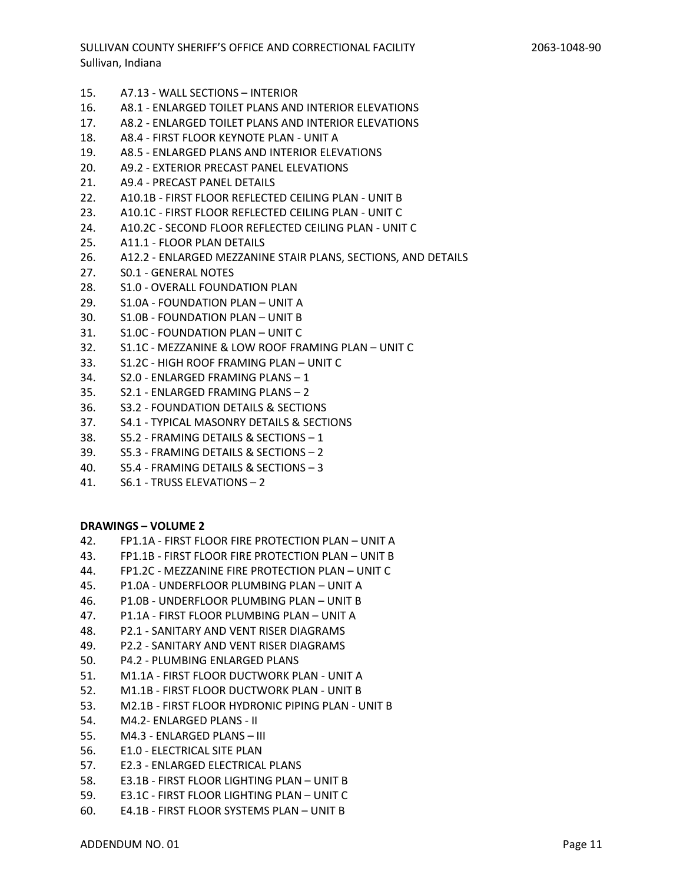- 15. A7.13 WALL SECTIONS INTERIOR
- 16. A8.1 ENLARGED TOILET PLANS AND INTERIOR ELEVATIONS
- 17. A8.2 ENLARGED TOILET PLANS AND INTERIOR ELEVATIONS
- 18. A8.4 FIRST FLOOR KEYNOTE PLAN UNIT A
- 19. A8.5 ENLARGED PLANS AND INTERIOR ELEVATIONS
- 20. A9.2 EXTERIOR PRECAST PANEL ELEVATIONS
- 21. A9.4 PRECAST PANEL DETAILS
- 22. A10.1B FIRST FLOOR REFLECTED CEILING PLAN UNIT B
- 23. A10.1C FIRST FLOOR REFLECTED CEILING PLAN UNIT C
- 24. A10.2C SECOND FLOOR REFLECTED CEILING PLAN UNIT C
- 25. A11.1 FLOOR PLAN DETAILS
- 26. A12.2 ENLARGED MEZZANINE STAIR PLANS, SECTIONS, AND DETAILS
- 27. S0.1 GENERAL NOTES
- 28. S1.0 OVERALL FOUNDATION PLAN
- 29. S1.0A FOUNDATION PLAN UNIT A
- 30. S1.0B FOUNDATION PLAN UNIT B
- 31. S1.0C FOUNDATION PLAN UNIT C
- 32. S1.1C MEZZANINE & LOW ROOF FRAMING PLAN UNIT C
- 33. S1.2C HIGH ROOF FRAMING PLAN UNIT C
- 34. S2.0 ENLARGED FRAMING PLANS 1
- 35. S2.1 ENLARGED FRAMING PLANS 2
- 36. S3.2 FOUNDATION DETAILS & SECTIONS
- 37. S4.1 TYPICAL MASONRY DETAILS & SECTIONS
- 38. S5.2 FRAMING DETAILS & SECTIONS 1
- 39. S5.3 FRAMING DETAILS & SECTIONS 2
- 40. S5.4 FRAMING DETAILS & SECTIONS 3
- 41. S6.1 TRUSS ELEVATIONS 2

#### **DRAWINGS – VOLUME 2**

- 42. FP1.1A FIRST FLOOR FIRE PROTECTION PLAN UNIT A
- 43. FP1.1B FIRST FLOOR FIRE PROTECTION PLAN UNIT B
- 44. FP1.2C MEZZANINE FIRE PROTECTION PLAN UNIT C
- 45. P1.0A UNDERFLOOR PLUMBING PLAN UNIT A
- 46. P1.0B UNDERFLOOR PLUMBING PLAN UNIT B
- 47. P1.1A FIRST FLOOR PLUMBING PLAN UNIT A
- 48. P2.1 SANITARY AND VENT RISER DIAGRAMS
- 49. P2.2 SANITARY AND VENT RISER DIAGRAMS
- 50. P4.2 PLUMBING ENLARGED PLANS
- 51. M1.1A FIRST FLOOR DUCTWORK PLAN UNIT A
- 52. M1.1B FIRST FLOOR DUCTWORK PLAN UNIT B
- 53. M2.1B FIRST FLOOR HYDRONIC PIPING PLAN UNIT B
- 54. M4.2- ENLARGED PLANS II
- 55. M4.3 ENLARGED PLANS III
- 56. E1.0 ELECTRICAL SITE PLAN
- 57. E2.3 ENLARGED ELECTRICAL PLANS
- 58. E3.1B FIRST FLOOR LIGHTING PLAN UNIT B
- 59. E3.1C FIRST FLOOR LIGHTING PLAN UNIT C
- 60. E4.1B FIRST FLOOR SYSTEMS PLAN UNIT B